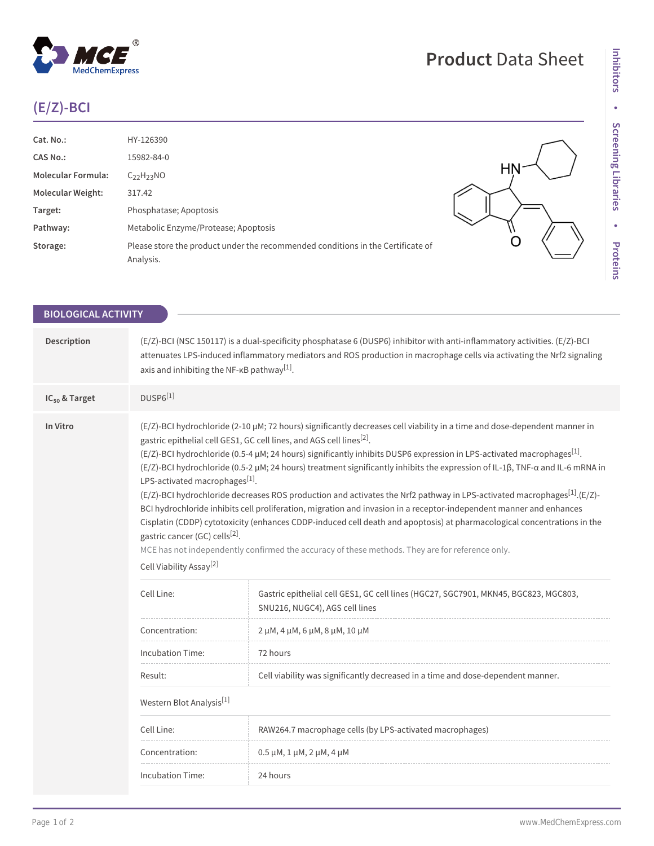## **(E/Z)-BCI**

 $^\circledR$ 

MedChemExpress

| Cat. No.:                 | HY-126390                                                                                    |  |
|---------------------------|----------------------------------------------------------------------------------------------|--|
| <b>CAS No.:</b>           | 15982-84-0                                                                                   |  |
| <b>Molecular Formula:</b> | $C_{22}H_{23}NO$                                                                             |  |
| <b>Molecular Weight:</b>  | 317.42                                                                                       |  |
| Target:                   | Phosphatase; Apoptosis                                                                       |  |
| Pathway:                  | Metabolic Enzyme/Protease; Apoptosis                                                         |  |
| Storage:                  | Please store the product under the recommended conditions in the Certificate of<br>Analysis. |  |
|                           |                                                                                              |  |

**Product** Data Sheet

| <b>BIOLOGICAL ACTIVITY</b> |                                                                                                                                 |                                                                                                                                                                                                                                                                                                                                                                                                                                                                                                                                                                                                                                                                                                                                                                                                                                                                                                                                                                                        |  |  |
|----------------------------|---------------------------------------------------------------------------------------------------------------------------------|----------------------------------------------------------------------------------------------------------------------------------------------------------------------------------------------------------------------------------------------------------------------------------------------------------------------------------------------------------------------------------------------------------------------------------------------------------------------------------------------------------------------------------------------------------------------------------------------------------------------------------------------------------------------------------------------------------------------------------------------------------------------------------------------------------------------------------------------------------------------------------------------------------------------------------------------------------------------------------------|--|--|
| Description                | axis and inhibiting the NF- $\kappa$ B pathway <sup>[1]</sup> .                                                                 | (E/Z)-BCI (NSC 150117) is a dual-specificity phosphatase 6 (DUSP6) inhibitor with anti-inflammatory activities. (E/Z)-BCI<br>attenuates LPS-induced inflammatory mediators and ROS production in macrophage cells via activating the Nrf2 signaling                                                                                                                                                                                                                                                                                                                                                                                                                                                                                                                                                                                                                                                                                                                                    |  |  |
| IC <sub>50</sub> & Target  | $DUSP6^{[1]}$                                                                                                                   |                                                                                                                                                                                                                                                                                                                                                                                                                                                                                                                                                                                                                                                                                                                                                                                                                                                                                                                                                                                        |  |  |
| In Vitro                   | LPS-activated macrophages <sup>[1]</sup> .<br>gastric cancer (GC) cells <sup>[2]</sup> .<br>Cell Viability Assay <sup>[2]</sup> | (E/Z)-BCI hydrochloride (2-10 µM; 72 hours) significantly decreases cell viability in a time and dose-dependent manner in<br>gastric epithelial cell GES1, GC cell lines, and AGS cell lines <sup>[2]</sup> .<br>$(E/Z)$ -BCI hydrochloride (0.5-4 µM; 24 hours) significantly inhibits DUSP6 expression in LPS-activated macrophages <sup>[1]</sup> .<br>(E/Z)-BCI hydrochloride (0.5-2 µM; 24 hours) treatment significantly inhibits the expression of IL-1β, TNF-a and IL-6 mRNA in<br>$(E/Z)$ -BCI hydrochloride decreases ROS production and activates the Nrf2 pathway in LPS-activated macrophages <sup>[1]</sup> .(E/Z)-<br>BCI hydrochloride inhibits cell proliferation, migration and invasion in a receptor-independent manner and enhances<br>Cisplatin (CDDP) cytotoxicity (enhances CDDP-induced cell death and apoptosis) at pharmacological concentrations in the<br>MCE has not independently confirmed the accuracy of these methods. They are for reference only. |  |  |
|                            | Cell Line:                                                                                                                      | Gastric epithelial cell GES1, GC cell lines (HGC27, SGC7901, MKN45, BGC823, MGC803,<br>SNU216, NUGC4), AGS cell lines                                                                                                                                                                                                                                                                                                                                                                                                                                                                                                                                                                                                                                                                                                                                                                                                                                                                  |  |  |
|                            | Concentration:                                                                                                                  | 2 μM, 4 μM, 6 μM, 8 μM, 10 μM                                                                                                                                                                                                                                                                                                                                                                                                                                                                                                                                                                                                                                                                                                                                                                                                                                                                                                                                                          |  |  |
|                            | <b>Incubation Time:</b>                                                                                                         | 72 hours                                                                                                                                                                                                                                                                                                                                                                                                                                                                                                                                                                                                                                                                                                                                                                                                                                                                                                                                                                               |  |  |
|                            | Result:                                                                                                                         | Cell viability was significantly decreased in a time and dose-dependent manner.                                                                                                                                                                                                                                                                                                                                                                                                                                                                                                                                                                                                                                                                                                                                                                                                                                                                                                        |  |  |
|                            | Western Blot Analysis <sup>[1]</sup>                                                                                            |                                                                                                                                                                                                                                                                                                                                                                                                                                                                                                                                                                                                                                                                                                                                                                                                                                                                                                                                                                                        |  |  |
|                            | Cell Line:                                                                                                                      | RAW264.7 macrophage cells (by LPS-activated macrophages)                                                                                                                                                                                                                                                                                                                                                                                                                                                                                                                                                                                                                                                                                                                                                                                                                                                                                                                               |  |  |
|                            | Concentration:                                                                                                                  | $0.5 \mu M$ , 1 $\mu$ M, 2 $\mu$ M, 4 $\mu$ M                                                                                                                                                                                                                                                                                                                                                                                                                                                                                                                                                                                                                                                                                                                                                                                                                                                                                                                                          |  |  |
|                            | <b>Incubation Time:</b>                                                                                                         | 24 hours                                                                                                                                                                                                                                                                                                                                                                                                                                                                                                                                                                                                                                                                                                                                                                                                                                                                                                                                                                               |  |  |